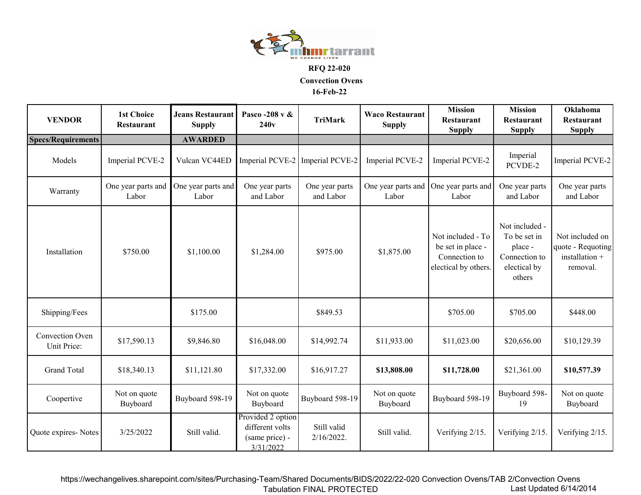

**RFQ 22-020**

**Convection Ovens**

**16-Feb-22**

| <b>VENDOR</b>                  | <b>1st Choice</b><br>Restaurant | <b>Jeans Restaurant</b><br><b>Supply</b> | Pasco -208 v &<br>240v                                              | <b>TriMark</b>               | <b>Waco Restaurant</b><br><b>Supply</b> | <b>Mission</b><br>Restaurant<br><b>Supply</b>                                   | <b>Mission</b><br><b>Restaurant</b><br><b>Supply</b>                                 | <b>Oklahoma</b><br><b>Restaurant</b><br><b>Supply</b>              |
|--------------------------------|---------------------------------|------------------------------------------|---------------------------------------------------------------------|------------------------------|-----------------------------------------|---------------------------------------------------------------------------------|--------------------------------------------------------------------------------------|--------------------------------------------------------------------|
| <b>Specs/Requirements</b>      |                                 | <b>AWARDED</b>                           |                                                                     |                              |                                         |                                                                                 |                                                                                      |                                                                    |
| Models                         | Imperial PCVE-2                 | Vulcan VC44ED                            | Imperial PCVE-2                                                     | Imperial PCVE-2              | Imperial PCVE-2                         | Imperial PCVE-2                                                                 | Imperial<br>PCVDE-2                                                                  | Imperial PCVE-2                                                    |
| Warranty                       | One year parts and<br>Labor     | One year parts and<br>Labor              | One year parts<br>and Labor                                         | One year parts<br>and Labor  | One year parts and<br>Labor             | One year parts and<br>Labor                                                     | One year parts<br>and Labor                                                          | One year parts<br>and Labor                                        |
| Installation                   | \$750.00                        | \$1,100.00                               | \$1,284.00                                                          | \$975.00                     | \$1,875.00                              | Not included - To<br>be set in place -<br>Connection to<br>electical by others. | Not included -<br>To be set in<br>place -<br>Connection to<br>electical by<br>others | Not included on<br>quote - Requoting<br>installation +<br>removal. |
| Shipping/Fees                  |                                 | \$175.00                                 |                                                                     | \$849.53                     |                                         | \$705.00                                                                        | \$705.00                                                                             | \$448.00                                                           |
| Convection Oven<br>Unit Price: | \$17,590.13                     | \$9,846.80                               | \$16,048.00                                                         | \$14,992.74                  | \$11,933.00                             | \$11,023.00                                                                     | \$20,656.00                                                                          | \$10,129.39                                                        |
| <b>Grand Total</b>             | \$18,340.13                     | \$11,121.80                              | \$17,332.00                                                         | \$16,917.27                  | \$13,808.00                             | \$11,728.00                                                                     | \$21,361.00                                                                          | \$10,577.39                                                        |
| Coopertive                     | Not on quote<br>Buyboard        | Buyboard 598-19                          | Not on quote<br>Buyboard                                            | Buyboard 598-19              | Not on quote<br>Buyboard                | Buyboard 598-19                                                                 | Buyboard 598-<br>19                                                                  | Not on quote<br>Buyboard                                           |
| Quote expires-Notes            | 3/25/2022                       | Still valid.                             | Provided 2 option<br>different volts<br>(same price) -<br>3/31/2022 | Still valid<br>$2/16/2022$ . | Still valid.                            | Verifying 2/15.                                                                 | Verifying 2/15.                                                                      | Verifying 2/15.                                                    |

https://wechangelives.sharepoint.com/sites/Purchasing-Team/Shared Documents/BIDS/2022/22-020 Convection Ovens/TAB 2/Convection Ovens Tabulation FINAL PROTECTEDLast Updated 6/14/2014